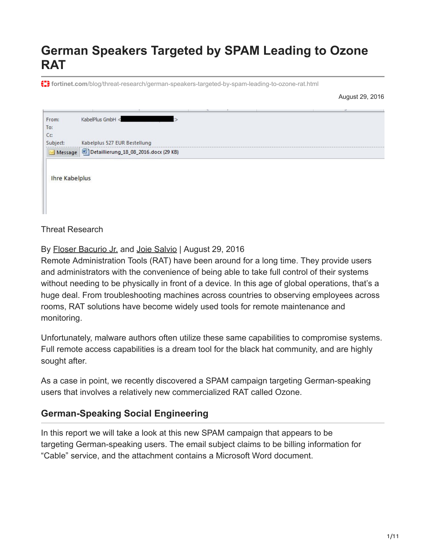# **German Speakers Targeted by SPAM Leading to Ozone RAT**

**fortinet.com**[/blog/threat-research/german-speakers-targeted-by-spam-leading-to-ozone-rat.html](https://www.fortinet.com/blog/threat-research/german-speakers-targeted-by-spam-leading-to-ozone-rat.html)

August 29, 2016

| From:                 | KabelPlus GmbH <             |  |  |
|-----------------------|------------------------------|--|--|
| To:                   |                              |  |  |
| Cc:                   |                              |  |  |
| Subject:              | Kabelplus 527 EUR Bestellung |  |  |
|                       | Message 2016.docx (29 KB)    |  |  |
| <b>Ihre Kabelplus</b> |                              |  |  |

Threat Research

By [Floser Bacurio Jr.](https://www.fortinet.com/blog/search?author=Floser+Bacurio+Jr.) and [Joie Salvio](https://www.fortinet.com/blog/search?author=Joie+Salvio) | August 29, 2016

Remote Administration Tools (RAT) have been around for a long time. They provide users and administrators with the convenience of being able to take full control of their systems without needing to be physically in front of a device. In this age of global operations, that's a huge deal. From troubleshooting machines across countries to observing employees across rooms, RAT solutions have become widely used tools for remote maintenance and monitoring.

Unfortunately, malware authors often utilize these same capabilities to compromise systems. Full remote access capabilities is a dream tool for the black hat community, and are highly sought after.

As a case in point, we recently discovered a SPAM campaign targeting German-speaking users that involves a relatively new commercialized RAT called Ozone.

#### **German-Speaking Social Engineering**

In this report we will take a look at this new SPAM campaign that appears to be targeting German-speaking users. The email subject claims to be billing information for "Cable" service, and the attachment contains a Microsoft Word document.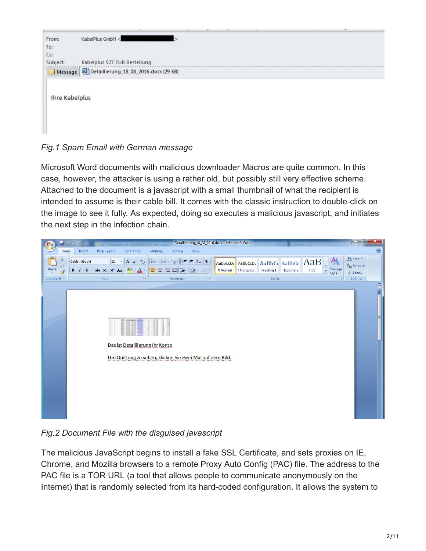|                       |                              |  | $\overline{\phantom{a}}$ |
|-----------------------|------------------------------|--|--------------------------|
| From:                 | KabelPlus GmbH <             |  |                          |
| To:                   |                              |  |                          |
| Cc:                   |                              |  |                          |
| Subject:              | Kabelplus 527 EUR Bestellung |  |                          |
|                       | Message 2016.docx (29 KB)    |  |                          |
|                       |                              |  |                          |
| <b>Ihre Kabelplus</b> |                              |  |                          |
|                       |                              |  |                          |
|                       |                              |  |                          |

*Fig.1 Spam Email with German message*

Microsoft Word documents with malicious downloader Macros are quite common. In this case, however, the attacker is using a rather old, but possibly still very effective scheme. Attached to the document is a javascript with a small thumbnail of what the recipient is intended to assume is their cable bill. It comes with the classic instruction to double-click on the image to see it fully. As expected, doing so executes a malicious javascript, and initiates the next step in the infection chain.



*Fig.2 Document File with the disguised javascript*

The malicious JavaScript begins to install a fake SSL Certificate, and sets proxies on IE, Chrome, and Mozilla browsers to a remote Proxy Auto Config (PAC) file. The address to the PAC file is a TOR URL (a tool that allows people to communicate anonymously on the Internet) that is randomly selected from its hard-coded configuration. It allows the system to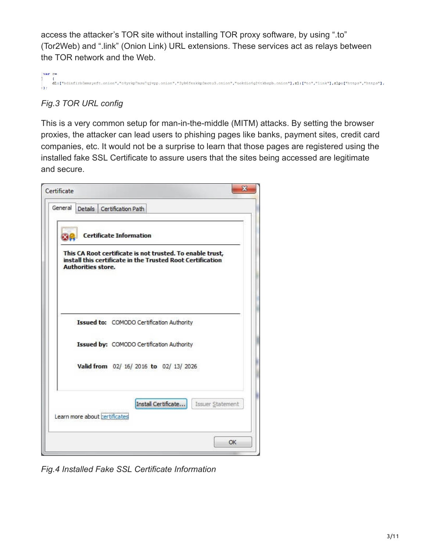access the attacker's TOR site without installing TOR proxy software, by using ".to" (Tor2Web) and ".link" (Onion Link) URL extensions. These services act as relays between the TOR network and the Web.

. ["bdinfirb5mmzyeft.onion", "c4yrkp7msu7qjvpp.onion", "3yk6feakkp3mctu3.onion", "uokdic4g24tkbzpb.onion"],z1:["to", "link"],zlp:["https", "https"],

### *Fig.3 TOR URL config*

This is a very common setup for man-in-the-middle (MITM) attacks. By setting the browser proxies, the attacker can lead users to phishing pages like banks, payment sites, credit card companies, etc. It would not be a surprise to learn that those pages are registered using the installed fake SSL Certificate to assure users that the sites being accessed are legitimate and secure.



*Fig.4 Installed Fake SSL Certificate Information*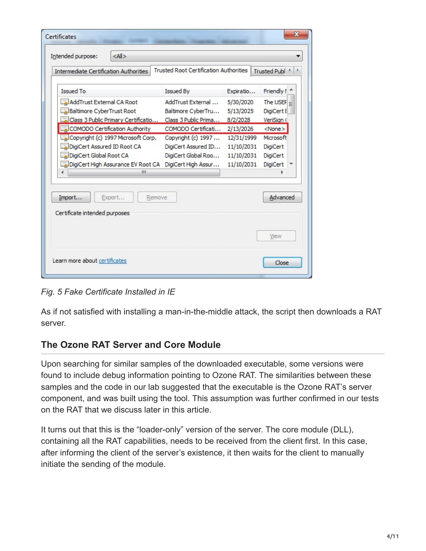|                    |                                                                                                                                                                                                 | Trusted Publ <sup>4</sup>                                                                                                                                                                                                                        |
|--------------------|-------------------------------------------------------------------------------------------------------------------------------------------------------------------------------------------------|--------------------------------------------------------------------------------------------------------------------------------------------------------------------------------------------------------------------------------------------------|
|                    |                                                                                                                                                                                                 | Friendly ! ^                                                                                                                                                                                                                                     |
| AddTrust External  | 5/30/2020                                                                                                                                                                                       | The USEF $=$                                                                                                                                                                                                                                     |
| Baltimore CyberTru | 5/13/2025                                                                                                                                                                                       | DigiCert E                                                                                                                                                                                                                                       |
|                    |                                                                                                                                                                                                 | VeriSian (                                                                                                                                                                                                                                       |
|                    | 2/13/2026                                                                                                                                                                                       | $<$ None $>$                                                                                                                                                                                                                                     |
|                    |                                                                                                                                                                                                 | Microsoft                                                                                                                                                                                                                                        |
|                    |                                                                                                                                                                                                 | <b>DigiCert</b>                                                                                                                                                                                                                                  |
|                    |                                                                                                                                                                                                 | <b>DigiCert</b>                                                                                                                                                                                                                                  |
|                    |                                                                                                                                                                                                 | <b>DigiCert</b>                                                                                                                                                                                                                                  |
|                    |                                                                                                                                                                                                 |                                                                                                                                                                                                                                                  |
|                    |                                                                                                                                                                                                 | Advanced                                                                                                                                                                                                                                         |
|                    |                                                                                                                                                                                                 |                                                                                                                                                                                                                                                  |
|                    |                                                                                                                                                                                                 |                                                                                                                                                                                                                                                  |
|                    | Issued By<br>Class 3 Public Primary Certificatio<br>COMODO Certification Authority<br>Copyright (c) 1997 Microsoft Corp.<br>DigiCert High Assurance EV Root CA<br>DigiCert High Assur<br>Remove | <b>Trusted Root Certification Authorities</b><br>Expiratio<br>Class 3 Public Prima<br>8/2/2028<br>COMODO Certificati<br>Copyright (c) 1997<br>12/31/1999<br>DigiCert Assured ID<br>11/10/2031<br>DigiCert Global Roo<br>11/10/2031<br>11/10/2031 |

*Fig. 5 Fake Certificate Installed in IE*

As if not satisfied with installing a man-in-the-middle attack, the script then downloads a RAT server.

#### **The Ozone RAT Server and Core Module**

Upon searching for similar samples of the downloaded executable, some versions were found to include debug information pointing to Ozone RAT. The similarities between these samples and the code in our lab suggested that the executable is the Ozone RAT's server component, and was built using the tool. This assumption was further confirmed in our tests on the RAT that we discuss later in this article.

It turns out that this is the "loader-only" version of the server. The core module (DLL), containing all the RAT capabilities, needs to be received from the client first. In this case, after informing the client of the server's existence, it then waits for the client to manually initiate the sending of the module.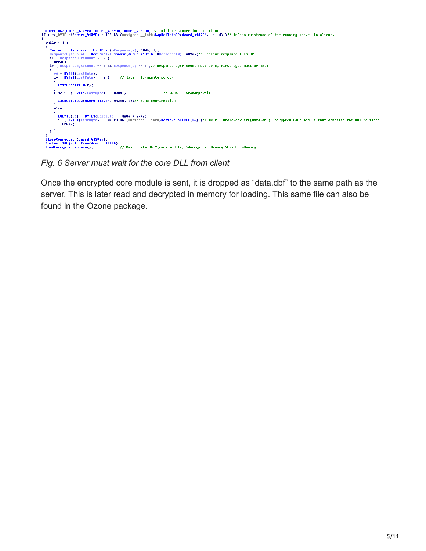

*Fig. 6 Server must wait for the core DLL from client*

Once the encrypted core module is sent, it is dropped as "data.dbf" to the same path as the server. This is later read and decrypted in memory for loading. This same file can also be found in the Ozone package.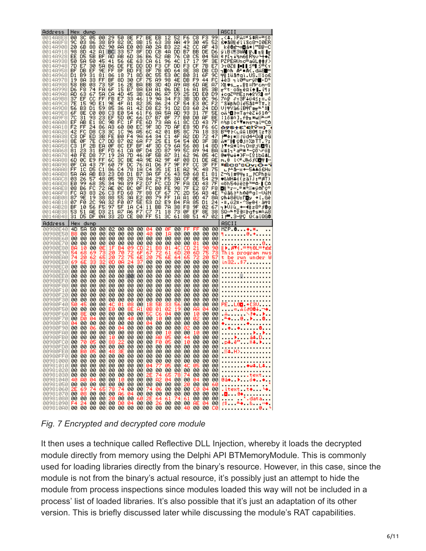| Address               | Hex       | dump                 |          |           |           |                |          |          |           |                      |          |                      |             |                 |          |          | ASCII                                                                                                                                                                                                                                                                                                            |
|-----------------------|-----------|----------------------|----------|-----------|-----------|----------------|----------|----------|-----------|----------------------|----------|----------------------|-------------|-----------------|----------|----------|------------------------------------------------------------------------------------------------------------------------------------------------------------------------------------------------------------------------------------------------------------------------------------------------------------------|
| 0014A8E8 <br>0014A8F8 | 00<br>90  | зс<br>øз             | 05<br>86 | 00<br>38  | 29<br>B9  | 50<br>82       | 8Е<br>80 | 67<br>8B | BЕ<br>15  | EВ<br>63             | 12<br>38 | 52<br>AA             | F6<br>49    | C8<br>30        | FЗ<br>45 | 99<br>52 | .<≄.)PÄ≈∃S¢R÷≞≼ŏ<br>£♥ā8i e°î ï Sc8¬I0ER                                                                                                                                                                                                                                                                         |
| 0014A908              | 20        | 6В                   | 88       | 02        | 90        | <b>AA</b>      | E0       | 08       | АØ        | 2А                   | вз       | 22                   | 42          | СC              | ΑF       | 43       | kē@ˬ∞◘á*¦"B⊫≫C                                                                                                                                                                                                                                                                                                   |
| 0014A918<br>0014A928  | 98<br>EE  | 8D<br>D5             | 42<br>5B | A1<br>ВF  | вс<br>AD  | 33<br>AВ       | 57<br>60 | 8F<br>36 | DD<br>В6  | cв<br>52             | 4A<br>AВ | DD<br>76             | B7<br>сø    | BВ<br>C5        | DE<br>04 | D6<br>5A | yiBi <sup>a</sup> 3W <b>A TJ ni Ir</b><br>∈F[¬∔½m6  R½∪ ↔◆Z                                                                                                                                                                                                                                                      |
| 0014A938<br>0014A948  | 50<br>70  | 5A<br>E7             | 50<br>30 | 45<br>5A  | 41<br>в6  | 56<br>DE       | 6Е<br>FE | 63<br>DD | CА<br>DD  | 61<br>F3             | 96<br>СF | 40<br>DD             | 17<br>FЗ    | 17<br>СF        | 9F<br>7В | зЕ<br>E7 | PZPEAVnc≏aūL‡‡∫>                                                                                                                                                                                                                                                                                                 |
| 0014A958              | ВF        | DВ                   | EF       | 9E        | FF        | 8F             | ВD       | FE       | 8F        | 7В                   | ØD       | 64                   | 8Е          | 38              | DВ       | CD       | )γ0ZH  ∎  ≤≐ ≤≛(γ<br>h∎oβ_A"•A(.dÄ8∎=                                                                                                                                                                                                                                                                            |
| 0014A968<br>0014A978  | D1<br>19  | B9<br>8Α             | 31<br>33 | 81<br>FF  | 86<br>ВF  | 18<br>80       | 71<br>30 | 8D<br>СF | øc<br>75  | 55<br>89             | 53<br>98 | øc<br>4Ε             | вø<br>DВ    | 31<br>F9        | 6F<br>44 | 90<br>FC | ਜੀ 1üâ†qì.US. <i></i> ≋1o£<br>∔è3 ┑ì0≐uгÿN∎∙D™                                                                                                                                                                                                                                                                   |
| 0014A988              | 58        | BВ                   | ØЗ       | 73        | 5F        | 16             | 2Е       | ВA       | BВ        | 3D                   | 4D       | 89                   | 88          | 6D              | AЕ       | 87       | X¶♥s___.∥¶=M⊏ଆନ≪ହ                                                                                                                                                                                                                                                                                                |
| 0014A998<br>0014A9A8  | D6<br>AD  | F8<br>63             | 74<br>67 | FA<br>5A  | 6F<br>CА  | 15<br>4D       | B7<br>45 | 88<br>зв | ЕA<br>60  | A1<br>06             | 06<br>Α7 | DE<br>59             | 16<br>25    | A1<br>DD        | в5<br>E0 | 3В<br>D9 | π°t·o§η èΩi <b>≄∥….</b> ii;<br>∔ogZ≏ME;m≙2Y/∎∝'                                                                                                                                                                                                                                                                  |
| 0014A9B8              | 37        | EF                   | cс       | FF        | FB        | E7             | 33       | 46       | 19        | 9Α                   | 34       | FЗ                   | ЗВ          | 3D              | ØС       | 96       | 7∩⊩ Jา3F∔ü4≼:=.ū                                                                                                                                                                                                                                                                                                 |
| 0014A9C8<br>0014A9D8  | 7Ε<br>56  | 15<br>B <sub>3</sub> | 90<br>D1 | E1<br>59  | 9Ε<br>85  | 4F<br>36       | A1<br>A1 | 82<br>42 | 35<br>D8  | 86<br>E <sub>2</sub> | 24<br>91 | СF<br>D <sub>2</sub> | 54<br>DЗ    | EЗ<br>60        | ØC<br>24 | F2<br>DD | ″S¥BAOie5â\$≐Tπ.≧<br>Ul구Yā6 [B수Pæㅠ౻*화]                                                                                                                                                                                                                                                                           |
| 0014A9E8<br>0014A9F8  | 6F<br>7С  | 8Ε<br>31             | сø<br>93 | 08<br>23  | сз<br>EF  | E0<br>50       | 54<br>øc | 61<br>66 | F6<br>D7  | 8A<br>B7             | 5A<br>øF | AD<br>77             | 93<br>вø    | 31<br>DØ        | 7F<br>АF | 5Е<br>ВE | oÄM⊒⊦∝Ta÷èZ∔ō1∆<br>¦1ō#∩].f <del>  </del> m្※w <del>╨</del> ∘≔                                                                                                                                                                                                                                                   |
| 0014AA08              | EF        | AВ                   | E1       | 80        | 9Β        | FC             | 1F       | FE       | 60        | 73                   | ΑA       | 61                   | 80          | СD              | 43       | 7F       | ∩½B▼∎ms⊐aî=C∆                                                                                                                                                                                                                                                                                                   |
| 0014AA18<br>0014AA28  | F2<br>42  | FF<br>FC             | 24<br>D8 | 86<br>СЗ  | ΑЗ<br>зс  | 60<br>10       | 80<br>96 | EC<br>85 | 9F<br>60  | 3D<br>42             | 7D<br>01 | ΑF<br>Β5             | E8<br>80    | 90<br>7А        | F6<br>18 | 60<br>33 | 698†£`ClY=}<br>B™†K∟ūñ lB©¶ îz†3                                                                                                                                                                                                                                                                                 |
| 0014AA38              | CЗ        | DF                   | ED       | зв        | FE        | вø             | F4       | 9Α       | 64        | 34                   | C1       | 4F                   | Α2          | DD              | 72       | 47       | -∳;∎∰rüd4∸0ó∥rG                                                                                                                                                                                                                                                                                                  |
| 0014AA48<br>0014AA58  | 8Е<br>CЗ  | ØF<br>1F             | 7Ε<br>2В | C7<br>ЕA  | DD<br>ØF  | 87<br>8C       | 02<br>EF | 6А<br>ВF | F7<br>4F  | 25<br>ЗD             | E1<br>C9 | 54<br>6A             | 54<br>56    | ØD<br>08        | ЗF<br>14 | зв<br>80 | Ä*″⊪ ÇƏj≈%BTT.<br>⊦▼+Ω*î∩┑O=╔jV◘¶i                                                                                                                                                                                                                                                                               |
| 0014AA68              | 81        | 23<br>FE             | 31       | ВF        | FD<br>19  | 61<br>2А       | СA       | ØF       | D4        | 2D<br>5В             | 87       | 99<br>31             | 50<br>62    | 89              | 94<br>05 | ВA       | ü#1¬≧a≞*≞–çŏ∖⊓ö∥<br>@■≑w↓*∋F∾[º1bū≄Ë                                                                                                                                                                                                                                                                             |
| 0014AA78<br>0014AA88  | 40<br>6D  | øc                   | D8<br>E9 | 77<br>FF  | 6C        | зс             | 70<br>ВΕ | 46<br>4A | ΑF<br>9Ε  | 82                   | 87<br>9F | 4F                   | 08          | 96<br>D1        | DE       | 4C<br>ЯE | m.8 l<ªJAõfO⊡ <del>r</del> ∎∾                                                                                                                                                                                                                                                                                    |
| 0014AA98<br>0014AAA8  | ØF<br>FF  | СА<br>10             | 43<br>D5 | 7F<br>C1  | 60<br>86  | 7F<br>C4       | DC<br>78 | 76<br>1A | A1<br>C4  | D6<br>35             | F7<br>1E | 9F<br>1E             | FF<br>82    | CС<br>90        | ЗF<br>48 | FF<br>75 | *ĒCO`OÜv;Ō+Ÿ<br>∟F∸&−x +—5▲▲ó£Hu                                                                                                                                                                                                                                                                                 |
| 0014AAB8              | 5A        | AА                   | AВ       | вз        | 23        | D <sub>8</sub> | D1       | Β7       | ЗА        | 5F                   | C6       | 43                   | 50          | 68              | E1       | 81       | Z¬½ #┭┭╖:_FCPhBü                                                                                                                                                                                                                                                                                                 |
| 0014AAC8<br>0014AAD8  | ØЗ<br>E0  | 26<br>99             | 57<br>68 | 48<br>35  | 05<br>34  | 9Β<br>9Α       | 28<br>89 | 7А<br>F2 | 84<br>D7  | 29<br>FC             | F5<br>СD | ЗА<br>7F             | СF<br>FA    | ØE<br>DD        | 54<br>43 | 29<br>7F | (TR≐:läs)¢#HW&<br>∝ŏh54üë≥∦™=∆∙∎C∆                                                                                                                                                                                                                                                                               |
| 0014AAE8              | 08        | В6                   | FC       | 72        | AЕ        | øc             | вс       | ØF       | FC        | вø                   | FE       | 98                   | 7F          | E2              | 87       | F8       | M∦™r≪.≝*™‱∎ÿ∆Γç°                                                                                                                                                                                                                                                                                                 |
| 0014AAF8<br>0014AB08  | FC<br>87  | ΑЗ<br>9Ε             | 83<br>19 | 26<br>38  | сз<br>88  | FD<br>55       | 68<br>ЗА | 7F<br>E2 | 88<br>08  | СF<br>79             | 67<br>FF | 7С<br>18             | 2D<br>A1    | 56<br>ØD        | ΑЗ<br>47 | 4E<br>8Α | ™úā&⊦≥h∆ē≐g¦–VúN<br>çA∔8ēU:Γ <mark>⊡</mark> y ≁ī.Gé                                                                                                                                                                                                                                                              |
| 0014AB18<br>0014AB28  | 07<br>ВF  | FØ<br>10             | 2C<br>56 | 98<br>F5  | 32<br>97  | FØ<br>5F       | 07<br>18 | 5Е<br>C4 | 53<br>11  | D <sub>2</sub><br>вв | E9<br>7А | Β4<br>38             | FA<br>F8    | 85<br>9F        | D1<br>02 | 24<br>67 | ∙≡,ΰ2≡∙^Sπθ ∙à∓\$<br>┑▶∪Jū_+—◀╗z8°∮@g                                                                                                                                                                                                                                                                            |
| 0014AB38              | 53        | 51                   | AЕ       | DЗ        | 21        | 87             | Я6       | F7       |           | 71                   | 18       | 73                   | øF          | EF              | 8Ε       | 38       | ŚQ⊹≞†Ωª≈⊩q†s*∩ä8                                                                                                                                                                                                                                                                                                 |
| 0014AB48              | 31        |                      |          |           |           |                |          | 80       | FF        | 51                   | зс       | 61                   | 8B          | 51              | 47       | 02       |                                                                                                                                                                                                                                                                                                                  |
|                       |           | D5                   | DF       | ØA        | 33        | 20             | CЕ       |          |           |                      |          |                      |             |                 |          |          | 1 P 3—19 Q <aïqg8< th=""></aïqg8<>                                                                                                                                                                                                                                                                               |
| Address               | Hex<br>4D |                      | dump     |           |           | øø             |          |          | 04        |                      |          | øø                   |             |                 |          | øø       | ASCII                                                                                                                                                                                                                                                                                                            |
| 00980E40<br>00980E50  | в8        | 58<br>00             | 50<br>00 | 00<br>øø  | 02<br>øø  | øø             | 00<br>00 | 00<br>øø | 40        | 00<br>00             | ØF<br>18 | øø                   | F۴<br>00    | FF<br>øø        | 00<br>øø | øø       | М2Р.В. ♦ Ж<br>1. U +                                                                                                                                                                                                                                                                                             |
| 00980E60<br>00980E70  | øø<br>øø  | øø<br>øø             | øø<br>00 | øø<br>00  | øø<br>øø  | øø<br>00       | øø<br>00 | øø<br>00 | øø<br>00  | øø<br>00             | 00<br>00 | øø<br>00             | øø<br>00    | øø<br>01        | øø<br>øø | øø<br>øø | .                                                                                                                                                                                                                                                                                                                |
| 00980E80              | BЯ        | 10                   | øø       | ин        |           | Β4             | ич       | СD       |           |                      | и1       | 40                   | СD          | 21              | 90       | 90       | 8<br>∥) 871.=†10L=†ee                                                                                                                                                                                                                                                                                            |
| 00980E90<br>00980EA0  | 74        | 68<br>20             | 69<br>62 |           | 20        | 70             |          | 6Е<br>6Е |           |                      | 61<br>6Е | 60<br>64             | 20          | 6D              | 75<br>20 | 57       | This program mus<br>t be run under                                                                                                                                                                                                                                                                               |
| 00980EB0<br>00980EC0  | øø        | øø                   | 00       | 00        | ЙD<br>00  | ЙД<br>øø       | 00       | øø       | øø<br>øø  | 00<br>øø             | 00<br>øø | øø<br>øø             | 00<br>øø    | øø<br>øø        | øø<br>øø | øø<br>øø | in32\$7                                                                                                                                                                                                                                                                                                          |
| 00980ED0              | øø        | øø                   | 00       | 00        | øø        | øø             | 00       | øø       | 00        | øø                   | øø       | øø                   | 00          | øø              | 00       | øø       | . <u>.</u>                                                                                                                                                                                                                                                                                                       |
| 00980EE0<br>00980EF0  | øø<br>øø  | øø<br>øø             | 00<br>00 | 00<br>øø  | 00<br>00  | øø<br>øø       | 00<br>00 | 00<br>øø | 00<br>00  | 00<br>øø             | 00<br>00 | 00<br>00             | 00<br>00    | øø<br>øø        | øø<br>øø | øø<br>øø | . <u>.</u><br>.                                                                                                                                                                                                                                                                                                  |
| 00980F00              | øø        | øø.                  | øø       | øø        | øø        | øø             | øø       | 00       | øø        | øø                   | 00       | 00                   | 00          | øø              | ØØ       | ØØ       |                                                                                                                                                                                                                                                                                                                  |
| 00980F10<br>00980F20  | øø<br>øø  | øø<br>ØØ.            | øø<br>00 | øø<br>00  | øø<br>00  | øø<br>00       | øø<br>00 | øø<br>00 | øø<br>ØØ. | øø<br>00             | 00<br>00 | 00<br>00             | 00<br>00    | øø<br>ØØ        | øø<br>øø | øø<br>ØØ |                                                                                                                                                                                                                                                                                                                  |
| 00980F30              | 00<br>5и  | 00<br>45             | 00       | 00<br>00  | øø<br>4Γ. | 00<br>и1       | 00<br>ия | 00       | 00        | 00                   | 00       | 00                   | 00          | 00              | øø       | øø       | .                                                                                                                                                                                                                                                                                                                |
| 00980F40<br>00980F50  | øø        | 00                   | 00<br>øø | 00        | Eø        | 00             | 8Ε       | 00<br>A1 | 18<br>øв  | 01                   | 02       | 19                   | 00<br>øø    | 00<br>AΑ        | 00<br>04 | 00<br>øø | PE LOO + ESU<br>$\sim$ $\alpha$ A18884 $\neg$ $\bullet$                                                                                                                                                                                                                                                          |
| 00980F60<br>00980F70  | 00<br>øø  | 86<br>DЙ             | 00<br>04 | 00<br>00  | øø<br>øø  | 00<br>00       | 00<br>40 | 00<br>00 | 50<br>00  | EБ<br>10             | 04<br>00 | 00<br>00             | 00<br>00    | 10<br>02        | øø<br>øø | 00<br>øø | iã NF <del>≯</del> Pri                                                                                                                                                                                                                                                                                           |
| 00980F80              | 04        | ØЙ                   | øø       | ØЙ        | ØЙ        | ØЙ             | ØЙ       | ØЙ       | 04        | 00                   | 00       | ØЙ                   | 00          | øø              | ØЙ       | ØЙ       | $+$ $+$ $+$ $+$                                                                                                                                                                                                                                                                                                  |
| 00980F90<br>00980FA0  | øø<br>ØЙ  | 00<br>00             | 06<br>00 | øø<br>00  | ØЙ<br>00  | 04<br>00       | 00<br>00 | ØЙ<br>ØЙ | 00<br>00  | ØЙ<br>00             | 00<br>10 | 00<br>00             | Й2<br>00    | øø<br>10        | øø<br>ØЙ | 00<br>00 | $\bullet$ $\bullet$<br>. <del>.</del>                                                                                                                                                                                                                                                                            |
| 00980FB0              | øø        | 00                   | 00       | 00        | 10        | 00             | 00       | 00       | 00        | АØ                   | 05       | øø                   | 44          | øø              | øø       | 00       |                                                                                                                                                                                                                                                                                                                  |
| ดดลอด⊨∩ด<br>00980FD0  | שט<br>00  |                      | 00 00    | שט<br>-00 | 00        | 00             | שט<br>00 | שט<br>00 | שט<br>00  | 00                   | 00       | שט<br>00             | 00          | שט<br>00        | שט<br>00 | שט<br>00 | . <u>.</u>                                                                                                                                                                                                                                                                                                       |
| 00980FE0<br>00980FF0  | 00<br>00  | вø<br>00             | 05<br>00 | 00<br>00  | 48<br>00  | зЕ<br>00       | 00<br>00 | 00<br>00 | 00<br>00  | 00<br>00             | 00<br>00 | 00<br>00             | 00<br>00    | 00<br>00        | 00<br>00 | 00<br>00 | ○第48日 ND 2010 10:00                                                                                                                                                                                                                                                                                              |
| 00981000              | 00.       | 00                   | 00       | 00        | 00        | 00             | 00       | 00       | 00        | 00                   | 00       | 00                   | 00          | 00              | 00       | 00       |                                                                                                                                                                                                                                                                                                                  |
| 00981010<br>00981020  | 00<br>00  | 00<br>00             | 00<br>00 | 00<br>00  | 00<br>00  | 00<br>00       | 00<br>00 | 00<br>00 | 04<br>00  | 77<br>00             | 05<br>00 | 00<br>00             | 40<br>00    | 05<br>00        | 00<br>00 | 00<br>00 | $\cdots$ . $\cdots$<br>.                                                                                                                                                                                                                                                                                         |
| 00981030              | 00        | 00                   | 00       | 00        | 00        | 00             | 00       | 00       |           | 74                   | 65       | 78                   | 74          | 00              | 00       | 00       | <b>.</b> text                                                                                                                                                                                                                                                                                                    |
| 00981040<br>00981050  | 40<br>00  | яø<br>00             | 04<br>00 | 00<br>00  | 00<br>00  | 10<br>00       | 00<br>00 | 00<br>00 | 00<br>00  | A2<br>00             | 04<br>00 | 00<br>00             | 00<br>20    | 04<br>00        | 00<br>00 | 00<br>60 | @á♦ ▶ 6♦ ♦.<br>.                                                                                                                                                                                                                                                                                                 |
| 00981060<br>00981070  | 00        | 69<br>08             | 74<br>00 | 65<br>00  | 78<br>00  | 74<br>86       | 00<br>04 | 00<br>00 | 74<br>00  | 06<br>00             | 00<br>00 | 00<br>00             | 00<br>00    | сø<br>00        | 04<br>00 | 00<br>00 | .itext t⊕ .                                                                                                                                                                                                                                                                                                      |
| 00981080<br>00981090  | 00<br>F4  | 00<br>24             | 00<br>00 | 00<br>00  | 20<br>-00 | 00<br>DØ       | 00<br>04 | 60<br>00 | 2Е<br>-00 | 64<br>26             | 61<br>00 | 74                   | 61<br>00 00 | 00<br><b>AE</b> | 00<br>04 | 00<br>00 | $\begin{bmatrix} 1 & 2 & 3 \\ 4 & 1 & 3 \\ 5 & 1 & 8 \\ 15 & 15 & 8 \\ 11 & 11 & 11 \\ 12 & 12 & 11 \\ 13 & 13 & 11 \\ 14 & 11 & 11 \\ 15 & 12 & 11 \\ 16 & 13 & 11 \\ 18 & 13 & 11 \\ 19 & 11 & 11 \\ 11 & 12 & 11 & 11 \\ 13 & 13 & 11 & 11 \\ 14 & 12 & 11 & 11 \\ 15 & 13 & 11 & 11 \\ 16 & 13 & 11 & 11 \\$ |

*Fig. 7 Encrypted and decrypted core module*

It then uses a technique called Reflective DLL Injection, whereby it loads the decrypted module directly from memory using the Delphi API BTMemoryModule. This is commonly used for loading libraries directly from the binary's resource. However, in this case, since the module is not from the binary's actual resource, it's possibly just an attempt to hide the module from process inspections since modules loaded this way will not be included in a process' list of loaded libraries. It's also possible that it's just an adaptation of its other version. This is briefly discussed later while discussing the module's RAT capabilities.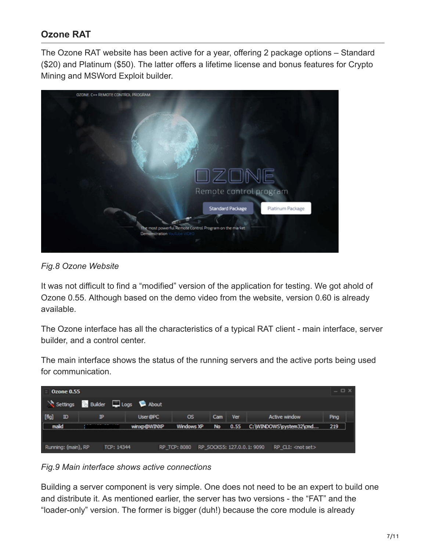## **Ozone RAT**

The Ozone RAT website has been active for a year, offering 2 package options – Standard (\$20) and Platinum (\$50). The latter offers a lifetime license and bonus features for Crypto Mining and MSWord Exploit builder.



*Fig.8 Ozone Website*

It was not difficult to find a "modified" version of the application for testing. We got ahold of Ozone 0.55. Although based on the demo video from the website, version 0.60 is already available.

The Ozone interface has all the characteristics of a typical RAT client - main interface, server builder, and a control center.

The main interface shows the status of the running servers and the active ports being used for communication.

| <b>Ozone 0.55</b>     |                           |             |                                         |           |      |                            | $ \Box$ $\times$ |  |
|-----------------------|---------------------------|-------------|-----------------------------------------|-----------|------|----------------------------|------------------|--|
| Settings              | <b>Builder</b> Logs About |             |                                         |           |      |                            |                  |  |
| [flq]<br>$\mathbb{D}$ | ℙ                         | User@PC     | <b>OS</b>                               | Cam       | Ver  | <b>Active window</b>       | Ping             |  |
| malid                 |                           | winxp@WINXP | Windows XP                              | <b>No</b> | 0.55 | C:\WINDOWS\system32\cmd    | 219              |  |
|                       |                           |             |                                         |           |      |                            |                  |  |
| Running: (main), RP   | TCP: 14344                |             | RP_TCP: 8080 RP_SOCKS5: 127.0.0.1: 9090 |           |      | RP_CLI: <not set=""></not> |                  |  |

*Fig.9 Main interface shows active connections*

Building a server component is very simple. One does not need to be an expert to build one and distribute it. As mentioned earlier, the server has two versions - the "FAT" and the "loader-only" version. The former is bigger (duh!) because the core module is already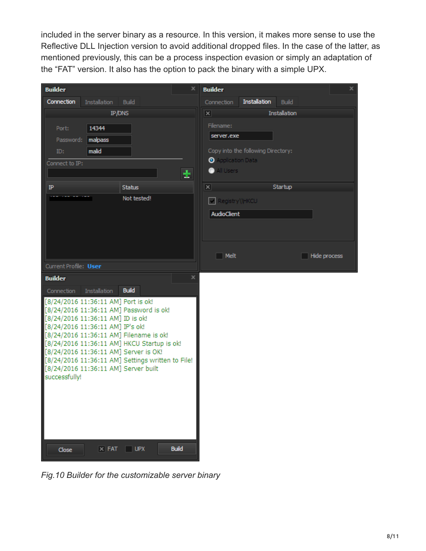included in the server binary as a resource. In this version, it makes more sense to use the Reflective DLL Injection version to avoid additional dropped files. In the case of the latter, as mentioned previously, this can be a process inspection evasion or simply an adaptation of the "FAT" version. It also has the option to pack the binary with a simple UPX.

| <b>Builder</b>                       |                     |                                                                                      | x            | <b>Builder</b>          |                                    |                     |              | x |
|--------------------------------------|---------------------|--------------------------------------------------------------------------------------|--------------|-------------------------|------------------------------------|---------------------|--------------|---|
| Connection                           | <b>Installation</b> | <b>Build</b>                                                                         |              | Connection              | <b>Installation</b>                | <b>Build</b>        |              |   |
|                                      | IP/DNS              |                                                                                      |              | $\overline{\mathbf{x}}$ |                                    | <b>Installation</b> |              |   |
| Port:                                | 14344               |                                                                                      |              | Filename:               |                                    |                     |              |   |
| Password:                            | malpass             |                                                                                      |              | server.exe              |                                    |                     |              |   |
| ID:                                  | malid               |                                                                                      |              |                         | Copy into the following Directory: |                     |              |   |
| Connect to IP:                       |                     |                                                                                      |              | Application Data        |                                    |                     |              |   |
|                                      |                     |                                                                                      | ÷            | All Users<br>●          |                                    |                     |              |   |
|                                      |                     |                                                                                      |              |                         |                                    | Startup             |              |   |
| IP                                   |                     | <b>Status</b><br>Not tested!                                                         |              | $\vert x \vert$         |                                    |                     |              |   |
|                                      |                     |                                                                                      |              | Registry\\HKCU          |                                    |                     |              |   |
|                                      |                     |                                                                                      |              | AudioClient             |                                    |                     |              |   |
|                                      |                     |                                                                                      |              |                         |                                    |                     |              |   |
|                                      |                     |                                                                                      |              |                         |                                    |                     |              |   |
|                                      |                     |                                                                                      |              |                         |                                    |                     |              |   |
|                                      |                     |                                                                                      |              | $\Box$ Melt             |                                    |                     | Hide process |   |
| Current Profile: User                |                     |                                                                                      |              |                         |                                    |                     |              |   |
| <b>Builder</b>                       |                     |                                                                                      | ×            |                         |                                    |                     |              |   |
| Connection                           | Installation        | <b>Build</b>                                                                         |              |                         |                                    |                     |              |   |
| [8/24/2016 11:36:11 AM] Port is ok!  |                     | [8/24/2016 11:36:11 AM] Password is ok!                                              |              |                         |                                    |                     |              |   |
| [8/24/2016 11:36:11 AM] ID is ok!    |                     |                                                                                      |              |                         |                                    |                     |              |   |
| [8/24/2016 11:36:11 AM] IP's ok!     |                     |                                                                                      |              |                         |                                    |                     |              |   |
|                                      |                     | [8/24/2016 11:36:11 AM] Filename is ok!                                              |              |                         |                                    |                     |              |   |
|                                      |                     | [8/24/2016 11:36:11 AM] HKCU Startup is ok!<br>[8/24/2016 11:36:11 AM] Server is OK! |              |                         |                                    |                     |              |   |
|                                      |                     | [8/24/2016 11:36:11 AM] Settings written to File!                                    |              |                         |                                    |                     |              |   |
| [8/24/2016 11:36:11 AM] Server built |                     |                                                                                      |              |                         |                                    |                     |              |   |
| successfully!                        |                     |                                                                                      |              |                         |                                    |                     |              |   |
|                                      |                     |                                                                                      |              |                         |                                    |                     |              |   |
|                                      |                     |                                                                                      |              |                         |                                    |                     |              |   |
|                                      |                     |                                                                                      |              |                         |                                    |                     |              |   |
|                                      |                     |                                                                                      |              |                         |                                    |                     |              |   |
|                                      |                     |                                                                                      |              |                         |                                    |                     |              |   |
|                                      |                     |                                                                                      |              |                         |                                    |                     |              |   |
| Close                                |                     | $\times$ FAT $\Box$ UPX                                                              | <b>Build</b> |                         |                                    |                     |              |   |

*Fig.10 Builder for the customizable server binary*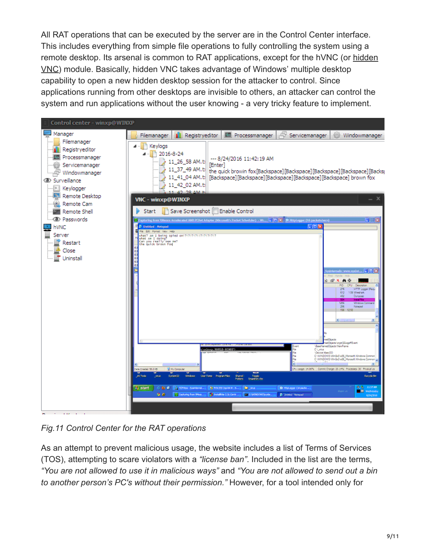All RAT operations that can be executed by the server are in the Control Center interface. This includes everything from simple file operations to fully controlling the system using a [remote desktop. Its arsenal is common to RAT applications, except for the hVNC \(or hidden](https://www.malwaretech.com/2015/09/hidden-vnc-for-beginners.html) VNC) module. Basically, hidden VNC takes advantage of Windows' multiple desktop capability to open a new hidden desktop session for the attacker to control. Since applications running from other desktops are invisible to others, an attacker can control the system and run applications without the user knowing - a very tricky feature to implement.



*Fig.11 Control Center for the RAT operations*

As an attempt to prevent malicious usage, the website includes a list of Terms of Services (TOS), attempting to scare violators with a *"license ban"*. Included in the list are the terms, *"You are not allowed to use it in malicious ways"* and *"You are not allowed to send out a bin to another person's PC's without their permission."* However, for a tool intended only for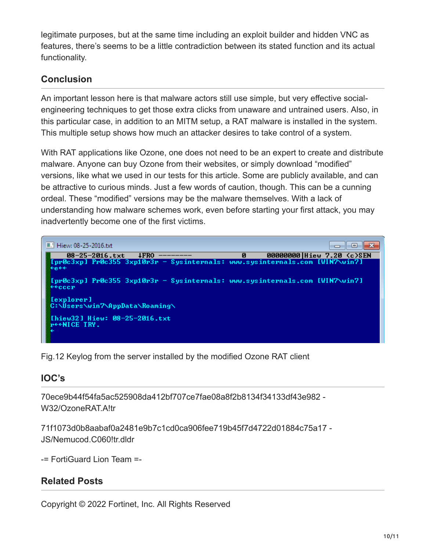legitimate purposes, but at the same time including an exploit builder and hidden VNC as features, there's seems to be a little contradiction between its stated function and its actual functionality.

## **Conclusion**

An important lesson here is that malware actors still use simple, but very effective socialengineering techniques to get those extra clicks from unaware and untrained users. Also, in this particular case, in addition to an MITM setup, a RAT malware is installed in the system. This multiple setup shows how much an attacker desires to take control of a system.

With RAT applications like Ozone, one does not need to be an expert to create and distribute malware. Anyone can buy Ozone from their websites, or simply download "modified" versions, like what we used in our tests for this article. Some are publicly available, and can be attractive to curious minds. Just a few words of caution, though. This can be a cunning ordeal. These "modified" versions may be the malware themselves. With a lack of understanding how malware schemes work, even before starting your first attack, you may inadvertently become one of the first victims.



Fig.12 Keylog from the server installed by the modified Ozone RAT client

## **IOC's**

70ece9b44f54fa5ac525908da412bf707ce7fae08a8f2b8134f34133df43e982 - W32/OzoneRAT.A!tr

71f1073d0b8aabaf0a2481e9b7c1cd0ca906fee719b45f7d4722d01884c75a17 - JS/Nemucod.C060!tr.dldr

-= FortiGuard Lion Team =-

#### **Related Posts**

Copyright © 2022 Fortinet, Inc. All Rights Reserved